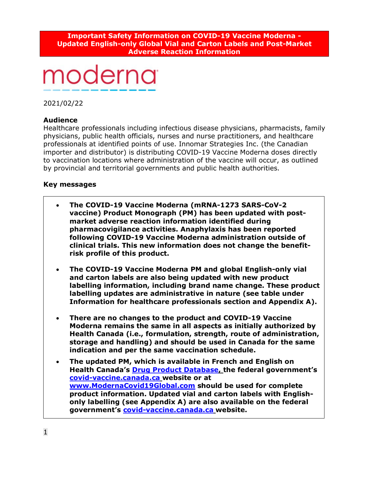#### **Important Safety Information on COVID-19 Vaccine Moderna - Updated English-only Global Vial and Carton Labels and Post-Market Adverse Reaction Information**

# moderna

2021/02/22

# **Audience**

Healthcare professionals including infectious disease physicians, pharmacists, family physicians, public health officials, nurses and nurse practitioners, and healthcare professionals at identified points of use. Innomar Strategies Inc. (the Canadian importer and distributor) is distributing COVID-19 Vaccine Moderna doses directly to vaccination locations where administration of the vaccine will occur, as outlined by provincial and territorial governments and public health authorities.

# **Key messages**

- **The COVID-19 Vaccine Moderna (mRNA-1273 SARS-CoV-2 vaccine) Product Monograph (PM) has been updated with postmarket adverse reaction information identified during pharmacovigilance activities. Anaphylaxis has been reported following COVID-19 Vaccine Moderna administration outside of clinical trials. This new information does not change the benefitrisk profile of this product.**
- **The COVID-19 Vaccine Moderna PM and global English-only vial and carton labels are also being updated with new product labelling information, including brand name change. These product labelling updates are administrative in nature (see table under Information for healthcare professionals section and Appendix A).**
- **There are no changes to the product and COVID-19 Vaccine Moderna remains the same in all aspects as initially authorized by Health Canada (i.e., formulation, strength, route of administration, storage and handling) and should be used in Canada for the same indication and per the same vaccination schedule.**
- **The updated PM, which is available in French and English on Health Canada's [Drug Product Database,](https://www.canada.ca/en/health-canada/services/drugs-health-products/drug-products/drug-product-database.html) the federal government's [covid-vaccine.canada.ca](https://covid-vaccine.canada.ca/moderna-covid-19-vaccine/product-details) website or at [www.ModernaCovid19Global.com](http://www.modernacovid19global.com/) should be used for complete product information. Updated vial and carton labels with Englishonly labelling (see Appendix A) are also available on the federal government's [covid-vaccine.canada.ca](https://covid-vaccine.canada.ca/moderna-covid-19-vaccine/product-details) website.**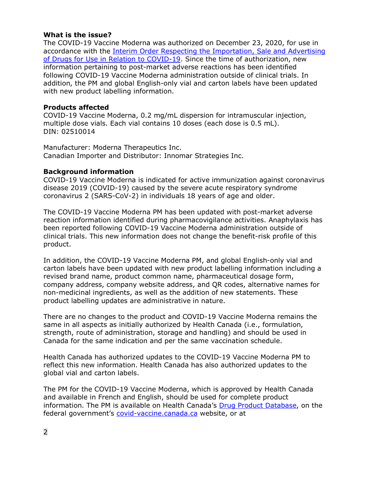# **What is the issue?**

The COVID-19 Vaccine Moderna was authorized on December 23, 2020, for use in accordance with the [Interim Order Respecting the Importation, Sale and Advertising](https://www.canada.ca/en/health-canada/services/drugs-health-products/covid19-industry/drugs-vaccines-treatments/interim-order-import-sale-advertising-drugs.html)  [of Drugs for Use in Relation to COVID-19.](https://www.canada.ca/en/health-canada/services/drugs-health-products/covid19-industry/drugs-vaccines-treatments/interim-order-import-sale-advertising-drugs.html) Since the time of authorization, new information pertaining to post-market adverse reactions has been identified following COVID-19 Vaccine Moderna administration outside of clinical trials. In addition, the PM and global English-only vial and carton labels have been updated with new product labelling information.

# **Products affected**

COVID-19 Vaccine Moderna, 0.2 mg/mL dispersion for intramuscular injection, multiple dose vials. Each vial contains 10 doses (each dose is 0.5 mL). DIN: 02510014

Manufacturer: Moderna Therapeutics Inc. Canadian Importer and Distributor: Innomar Strategies Inc.

#### **Background information**

COVID-19 Vaccine Moderna is indicated for active immunization against coronavirus disease 2019 (COVID-19) caused by the severe acute respiratory syndrome coronavirus 2 (SARS-CoV-2) in individuals 18 years of age and older.

The COVID-19 Vaccine Moderna PM has been updated with post-market adverse reaction information identified during pharmacovigilance activities. Anaphylaxis has been reported following COVID-19 Vaccine Moderna administration outside of clinical trials. This new information does not change the benefit-risk profile of this product.

In addition, the COVID-19 Vaccine Moderna PM, and global English-only vial and carton labels have been updated with new product labelling information including a revised brand name, product common name, pharmaceutical dosage form, company address, company website address, and QR codes, alternative names for non-medicinal ingredients, as well as the addition of new statements. These product labelling updates are administrative in nature.

There are no changes to the product and COVID-19 Vaccine Moderna remains the same in all aspects as initially authorized by Health Canada (i.e., formulation, strength, route of administration, storage and handling) and should be used in Canada for the same indication and per the same vaccination schedule.

Health Canada has authorized updates to the COVID-19 Vaccine Moderna PM to reflect this new information. Health Canada has also authorized updates to the global vial and carton labels.

The PM for the COVID-19 Vaccine Moderna, which is approved by Health Canada and available in French and English, should be used for complete product information. The PM is available on Health Canada's [Drug Product Database,](https://www.canada.ca/en/health-canada/services/drugs-health-products/drug-products/drug-product-database.html) on the federal government's [covid-vaccine.canada.ca](https://covid-vaccine.canada.ca/moderna-covid-19-vaccine/product-details) website, or at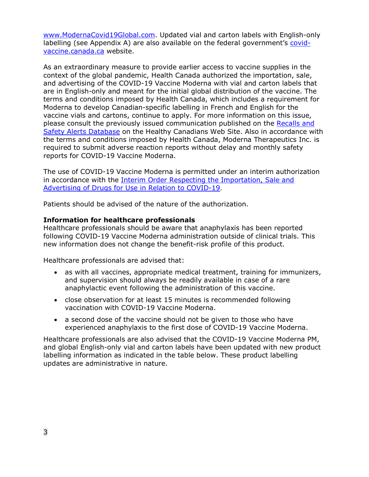[www.ModernaCovid19Global.com.](http://www.modernacovid19global.com/) Updated vial and carton labels with English-only labelling (see Appendix A) are also available on the federal government's [covid](https://covid-vaccine.canada.ca/moderna-covid-19-vaccine/product-details)[vaccine.canada.ca](https://covid-vaccine.canada.ca/moderna-covid-19-vaccine/product-details) website.

As an extraordinary measure to provide earlier access to vaccine supplies in the context of the global pandemic, Health Canada authorized the importation, sale, and advertising of the COVID-19 Vaccine Moderna with vial and carton labels that are in English-only and meant for the initial global distribution of the vaccine. The terms and conditions imposed by Health Canada, which includes a requirement for Moderna to develop Canadian-specific labelling in French and English for the vaccine vials and cartons, continue to apply. For more information on this issue, please consult the previously issued communication published on the [Recalls and](https://healthycanadians.gc.ca/recall-alert-rappel-avis/hc-sc/2020/74621a-eng.php)  [Safety Alerts Database](https://healthycanadians.gc.ca/recall-alert-rappel-avis/hc-sc/2020/74621a-eng.php) on the Healthy Canadians Web Site. Also in accordance with the terms and conditions imposed by Health Canada, Moderna Therapeutics Inc. is required to submit adverse reaction reports without delay and monthly safety reports for COVID-19 Vaccine Moderna.

The use of COVID-19 Vaccine Moderna is permitted under an interim authorization in accordance with the [Interim Order Respecting the Importation, Sale and](https://www.canada.ca/en/health-canada/services/drugs-health-products/covid19-industry/drugs-vaccines-treatments/interim-order-import-sale-advertising-drugs.html)  [Advertising of Drugs for Use in Relation to COVID-19.](https://www.canada.ca/en/health-canada/services/drugs-health-products/covid19-industry/drugs-vaccines-treatments/interim-order-import-sale-advertising-drugs.html)

Patients should be advised of the nature of the authorization.

# **Information for healthcare professionals**

Healthcare professionals should be aware that anaphylaxis has been reported following COVID-19 Vaccine Moderna administration outside of clinical trials. This new information does not change the benefit-risk profile of this product.

Healthcare professionals are advised that:

- as with all vaccines, appropriate medical treatment, training for immunizers, and supervision should always be readily available in case of a rare anaphylactic event following the administration of this vaccine.
- close observation for at least 15 minutes is recommended following vaccination with COVID-19 Vaccine Moderna.
- a second dose of the vaccine should not be given to those who have experienced anaphylaxis to the first dose of COVID-19 Vaccine Moderna.

Healthcare professionals are also advised that the COVID-19 Vaccine Moderna PM, and global English-only vial and carton labels have been updated with new product labelling information as indicated in the table below. These product labelling updates are administrative in nature.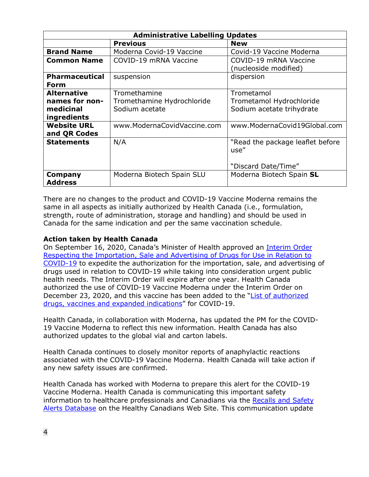| <b>Administrative Labelling Updates</b> |                             |                                  |  |  |  |
|-----------------------------------------|-----------------------------|----------------------------------|--|--|--|
|                                         | <b>Previous</b>             | <b>New</b>                       |  |  |  |
| <b>Brand Name</b>                       | Moderna Covid-19 Vaccine    | Covid-19 Vaccine Moderna         |  |  |  |
| <b>Common Name</b>                      | COVID-19 mRNA Vaccine       | COVID-19 mRNA Vaccine            |  |  |  |
|                                         |                             | (nucleoside modified)            |  |  |  |
| <b>Pharmaceutical</b>                   | suspension                  | dispersion                       |  |  |  |
| <b>Form</b>                             |                             |                                  |  |  |  |
| <b>Alternative</b>                      | Tromethamine                | Trometamol                       |  |  |  |
| names for non-                          | Tromethamine Hydrochloride  | Trometamol Hydrochloride         |  |  |  |
| medicinal                               | Sodium acetate              | Sodium acetate trihydrate        |  |  |  |
| ingredients                             |                             |                                  |  |  |  |
| <b>Website URL</b>                      | www.ModernaCovidVaccine.com | www.ModernaCovid19Global.com     |  |  |  |
| and QR Codes                            |                             |                                  |  |  |  |
| <b>Statements</b>                       | N/A                         | "Read the package leaflet before |  |  |  |
|                                         |                             | use"                             |  |  |  |
|                                         |                             |                                  |  |  |  |
|                                         |                             | "Discard Date/Time"              |  |  |  |
| Company                                 | Moderna Biotech Spain SLU   | Moderna Biotech Spain SL         |  |  |  |
| <b>Address</b>                          |                             |                                  |  |  |  |

There are no changes to the product and COVID-19 Vaccine Moderna remains the same in all aspects as initially authorized by Health Canada (i.e., formulation, strength, route of administration, storage and handling) and should be used in Canada for the same indication and per the same vaccination schedule.

# **Action taken by Health Canada**

On September 16, 2020, Canada's Minister of Health approved an [Interim Order](https://www.canada.ca/en/health-canada/services/drugs-health-products/covid19-industry/drugs-vaccines-treatments/interim-order-import-sale-advertising-drugs.html)  [Respecting the Importation, Sale and Advertising of Drugs for Use in Relation to](https://www.canada.ca/en/health-canada/services/drugs-health-products/covid19-industry/drugs-vaccines-treatments/interim-order-import-sale-advertising-drugs.html)  [COVID-19](https://www.canada.ca/en/health-canada/services/drugs-health-products/covid19-industry/drugs-vaccines-treatments/interim-order-import-sale-advertising-drugs.html) to expedite the authorization for the importation, sale, and advertising of drugs used in relation to COVID-19 while taking into consideration urgent public health needs. The Interim Order will expire after one year. Health Canada authorized the use of COVID-19 Vaccine Moderna under the Interim Order on December 23, 2020, and this vaccine has been added to the ["List of authorized](https://www.canada.ca/en/health-canada/services/drugs-health-products/covid19-industry/drugs-vaccines-treatments/authorization/list-drugs.html)  drugs, vaccines [and expanded indications"](https://www.canada.ca/en/health-canada/services/drugs-health-products/covid19-industry/drugs-vaccines-treatments/authorization/list-drugs.html) for COVID-19.

Health Canada, in collaboration with Moderna, has updated the PM for the COVID-19 Vaccine Moderna to reflect this new information. Health Canada has also authorized updates to the global vial and carton labels.

Health Canada continues to closely monitor reports of anaphylactic reactions associated with the COVID-19 Vaccine Moderna. Health Canada will take action if any new safety issues are confirmed.

Health Canada has worked with Moderna to prepare this alert for the COVID-19 Vaccine Moderna. Health Canada is communicating this important safety information to healthcare professionals and Canadians via the Recalls and Safety [Alerts Database](https://healthycanadians.gc.ca/recall-alert-rappel-avis/index-eng.php) on the Healthy Canadians Web Site. This communication update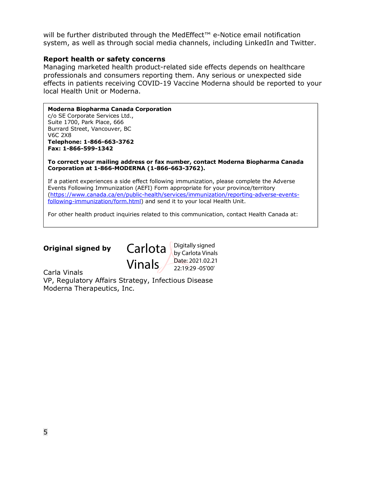will be further distributed through the MedEffect<sup>™</sup> e-Notice email notification system, as well as through social media channels, including LinkedIn and Twitter.

#### **Report health or safety concerns**

Managing marketed health product-related side effects depends on healthcare professionals and consumers reporting them. Any serious or unexpected side effects in patients receiving COVID-19 Vaccine Moderna should be reported to your local Health Unit or Moderna.

**Moderna Biopharma Canada Corporation** c/o SE Corporate Services Ltd., Suite 1700, Park Place, 666 Burrard Street, Vancouver, BC V6C 2X8 **Telephone: 1-866-663-3762 Fax: 1-866-599-1342**

**To correct your mailing address or fax number, contact Moderna Biopharma Canada Corporation at 1-866-MODERNA (1-866-663-3762).**

If a patient experiences a side effect following immunization, please complete the Adverse Events Following Immunization (AEFI) Form appropriate for your province/territory [\(https://www.canada.ca/en/public-health/services/immunization/reporting-adverse-events](https://www.canada.ca/en/public-health/services/immunization/reporting-adverse-events-following-immunization/form.html)[following-immunization/form.html\)](https://www.canada.ca/en/public-health/services/immunization/reporting-adverse-events-following-immunization/form.html) and send it to your local Health Unit.

For other health product inquiries related to this communication, contact Health Canada at:

**Original signed by**

ī

Carlota Bigitally signed Vinals by Carlota Vinals Date: 2021.02.21 22:19:29 -05'00'

Carla Vinals VP, Regulatory Affairs Strategy, Infectious Disease Moderna Therapeutics, Inc.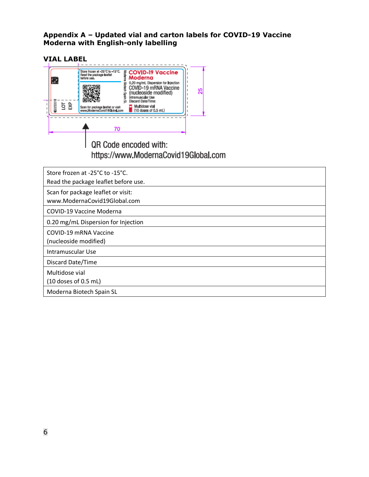# **Appendix A – Updated vial and carton labels for COVID-19 Vaccine Moderna with English-only labelling**

| 團                        | Store frozen at -25°C to -15°C.<br>s COVID-19 Vaccine<br>3 Moderna<br>Read the package leaflet<br>before use.                                                                                                                                                                |    |
|--------------------------|------------------------------------------------------------------------------------------------------------------------------------------------------------------------------------------------------------------------------------------------------------------------------|----|
| <b>DO23001B</b><br>ទី និ | 0.20 mg/ml. Dispersion for injection<br><b>Biotech</b><br>COVID-19 mRNA Vaccine<br>(nucleoside modified)<br>n Spain<br>ntramuscular Use<br>Discard Date/Time:<br>Multidose vial<br>Scan for package leaflet or visit<br>www.ModernaCovid19Global.com<br>(10 doses of 0.5 mL) | 25 |
|                          | 70                                                                                                                                                                                                                                                                           |    |
|                          | QR Code encoded with:                                                                                                                                                                                                                                                        |    |

# https://www.ModernaCovid19Global.com

| Store frozen at -25°C to -15°C.<br>Read the package leaflet before use. |
|-------------------------------------------------------------------------|
| Scan for package leaflet or visit:<br>www.ModernaCovid19Global.com      |
| COVID-19 Vaccine Moderna                                                |
| 0.20 mg/mL Dispersion for Injection                                     |
| COVID-19 mRNA Vaccine<br>(nucleoside modified)                          |
| Intramuscular Use                                                       |
| Discard Date/Time                                                       |
| Multidose vial<br>$(10$ doses of 0.5 mL)                                |
| Moderna Biotech Spain SL                                                |